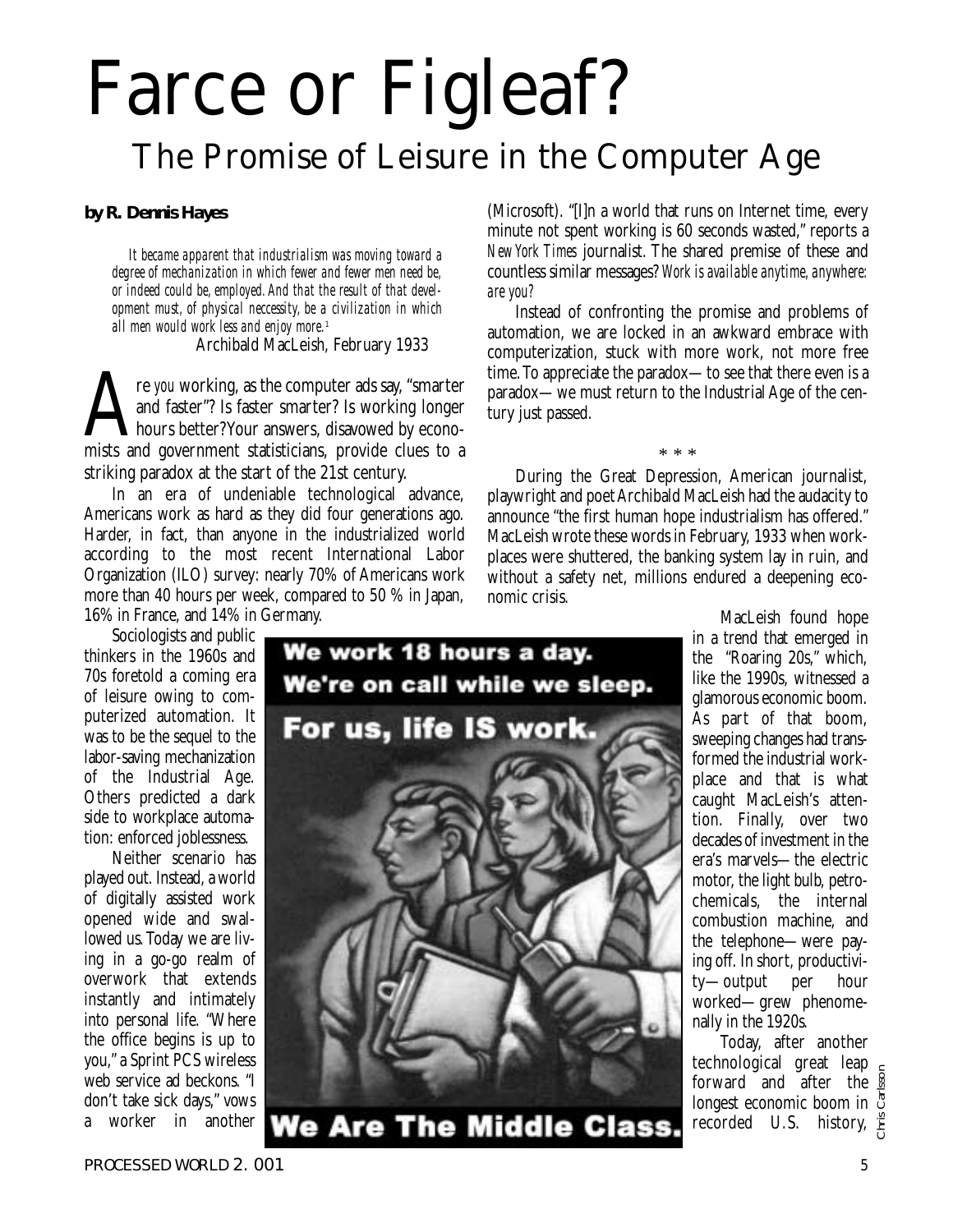## Farce or Figleaf? The Promise of Leisure in the Computer Age

*by R. Dennis Hayes*

*It became apparent that industrialism was moving toward a degree of mechanization in which fewer and fewer men need be, or indeed could be, employed.And that the result of that development must, of physical neccessity, be a civilization in which all men would work less and enjoy more.*<sup>1</sup>

Archibald MacLeish, February 1933

re *you* working, as the computer ads say, "smarter and faster"? Is faster smarter? Is working longer hours better? Your answers, disavowed by economists and government statisticians, provide clues to a and faster"? Is faster smarter? Is working longer **L**hours better? Your answers, disavowed by econostriking paradox at the start of the 21st century.

In an era of undeniable technological advance, Americans work as hard as they did four generations ago. Harder, in fact, than anyone in the industrialized world according to the most recent International Labor Organization (ILO) survey: nearly 70% of Americans work more than 40 hours per week, compared to 50 % in Japan, 16% in France, and 14% in Germany.

Sociologists and public

thinkers in the 1960s and 70s foretold a coming era of leisure owing to computerized automation. It was to be the sequel to the labor-saving mechanization of the Industrial Age. Others predicted a dark side to workplace automation: enforced joblessness.

Neither scenario has played out. Instead, a world of digitally assisted work opened wide and swallowed us. Today we are living in a go-go realm of overwork that extends instantly and intimately into personal life. "Where the office begins is up to you," a Sprint PCS wireless web service ad beckons. "I don't take sick days," vows a worker in another



(Microsoft). "[I]n a world that runs on Internet time, every minute not spent working is 60 seconds wasted," reports a *New York Times* journalist. The shared premise of these and countless similar messages? *Work is available anytime, anywhere: are you?*

Instead of confronting the promise and problems of automation, we are locked in an awkward embrace with computerization, stuck with more work, not more free time.To appreciate the paradox—to see that there even is a paradox—we must return to the Industrial Age of the century just passed.

During the Great Depression, American journalist, playwright and poet Archibald MacLeish had the audacity to announce "the first human hope industrialism has offered." MacLeish wrote these words in February, 1933 when workplaces were shuttered, the banking system lay in ruin, and without a safety net, millions endured a deepening economic crisis.

\* \* \*

MacLeish found hope in a trend that emerged in the "Roaring 20s," which, like the 1990s, witnessed a glamorous economic boom. As part of that boom, sweeping changes had transformed the industrial workplace and that is what caught MacLeish's attention. Finally, over two decades of investment in the era's marvels—the electric motor, the light bulb, petrochemicals, the internal combustion machine, and the telephone—were paying off. In short, productivity—output per hour worked—grew phenomenally in the 1920s.

Today, after another technological great leap forward and after the longest economic boom in recorded U.S. history, Chris Carlsson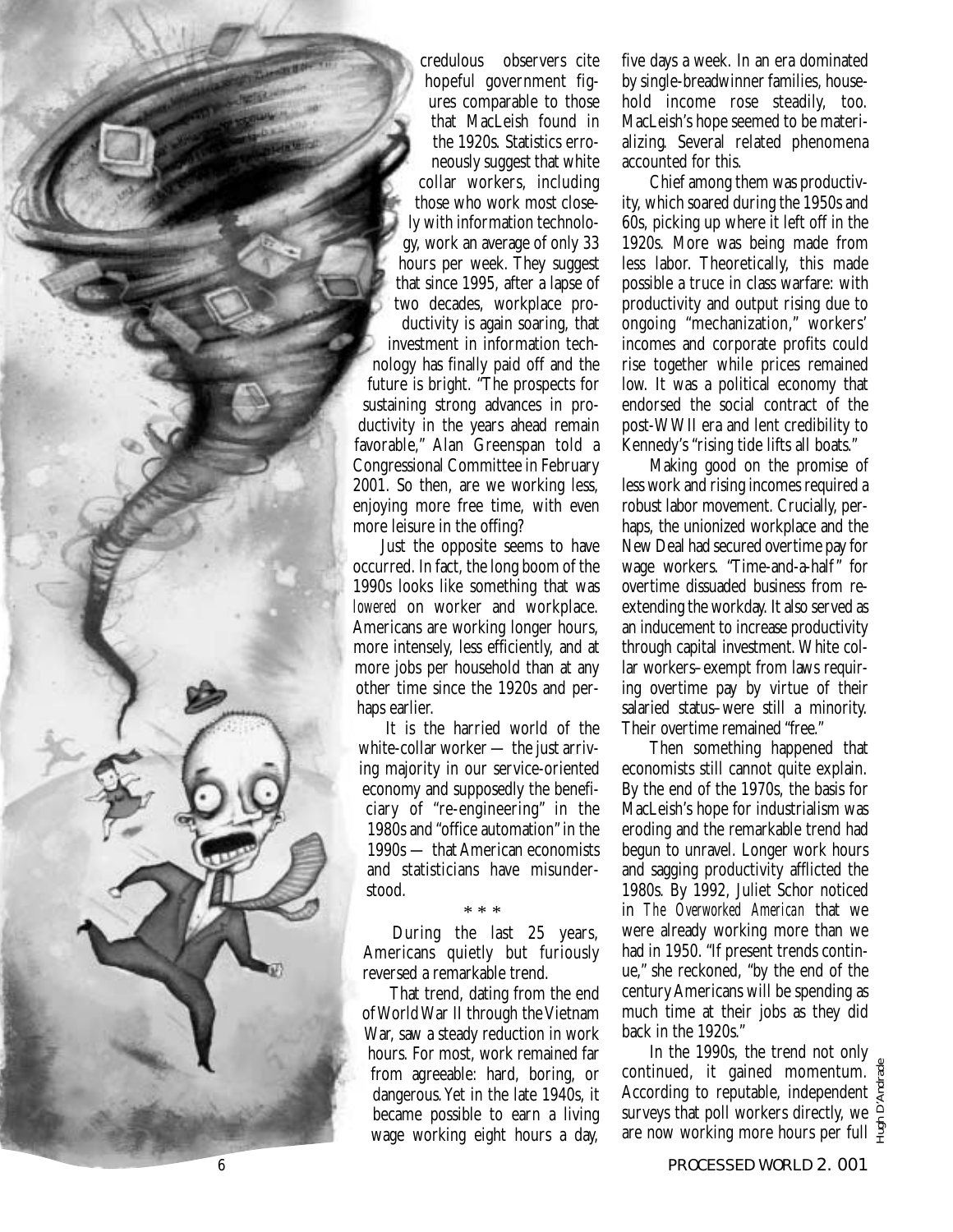credulous observers cite hopeful government figures comparable to those that MacLeish found in the 1920s. Statistics erroneously suggest that white collar workers, including those who work most closely with information technology, work an average of only 33 hours per week. They suggest that since 1995, after a lapse of two decades, workplace productivity is again soaring, that investment in information technology has finally paid off and the future is bright. "The prospects for sustaining strong advances in productivity in the years ahead remain favorable," Alan Greenspan told a Congressional Committee in February 2001. So then, are we working less, enjoying more free time, with even more leisure in the offing?

Just the opposite seems to have occurred. In fact, the long boom of the 1990s looks like something that was *lowered* on worker and workplace. Americans are working longer hours, more intensely, less efficiently, and at more jobs per household than at any other time since the 1920s and perhaps earlier.

It is the harried world of the white-collar worker — the just arriving majority in our service-oriented economy and supposedly the beneficiary of "re-engineering" in the 1980s and "office automation" in the 1990s — that American economists and statisticians have misunderstood.

\* \* \*

During the last 25 years, Americans quietly but furiously reversed a remarkable trend.

That trend, dating from the end of World War II through the Vietnam War, saw a steady reduction in work hours. For most, work remained far from agreeable: hard, boring, or dangerous.Yet in the late 1940s, it became possible to earn a living wage working eight hours a day,

five days a week. In an era dominated by single-breadwinner families, household income rose steadily, too. MacLeish's hope seemed to be materializing. Several related phenomena accounted for this.

Chief among them was productivity, which soared during the 1950s and 60s, picking up where it left off in the 1920s. More was being made from less labor. Theoretically, this made possible a truce in class warfare: with productivity and output rising due to ongoing "mechanization," workers' incomes and corporate profits could rise together while prices remained low. It was a political economy that endorsed the social contract of the post-WWII era and lent credibility to Kennedy's "rising tide lifts all boats."

Making good on the promise of less work and rising incomes required a robust labor movement. Crucially, perhaps, the unionized workplace and the New Deal had secured overtime pay for wage workers. "Time-and-a-half" for overtime dissuaded business from reextending the workday. It also served as an inducement to increase productivity through capital investment. White collar workers–exempt from laws requiring overtime pay by virtue of their salaried status–were still a minority. Their overtime remained "free."

Then something happened that economists still cannot quite explain. By the end of the 1970s, the basis for MacLeish's hope for industrialism was eroding and the remarkable trend had begun to unravel. Longer work hours and sagging productivity afflicted the 1980s. By 1992, Juliet Schor noticed in *The Overworked American* that we were already working more than we had in 1950. "If present trends continue," she reckoned, "by the end of the century Americans will be spending as much time at their jobs as they did back in the 1920s."

In the 1990s, the trend not only continued, it gained momentum. According to reputable, independent  $\overline{\xi}$ surveys that poll workers directly, we  $\hat{=}$ are now working more hours per full  $\frac{5}{7}$ Hugh D'Andrade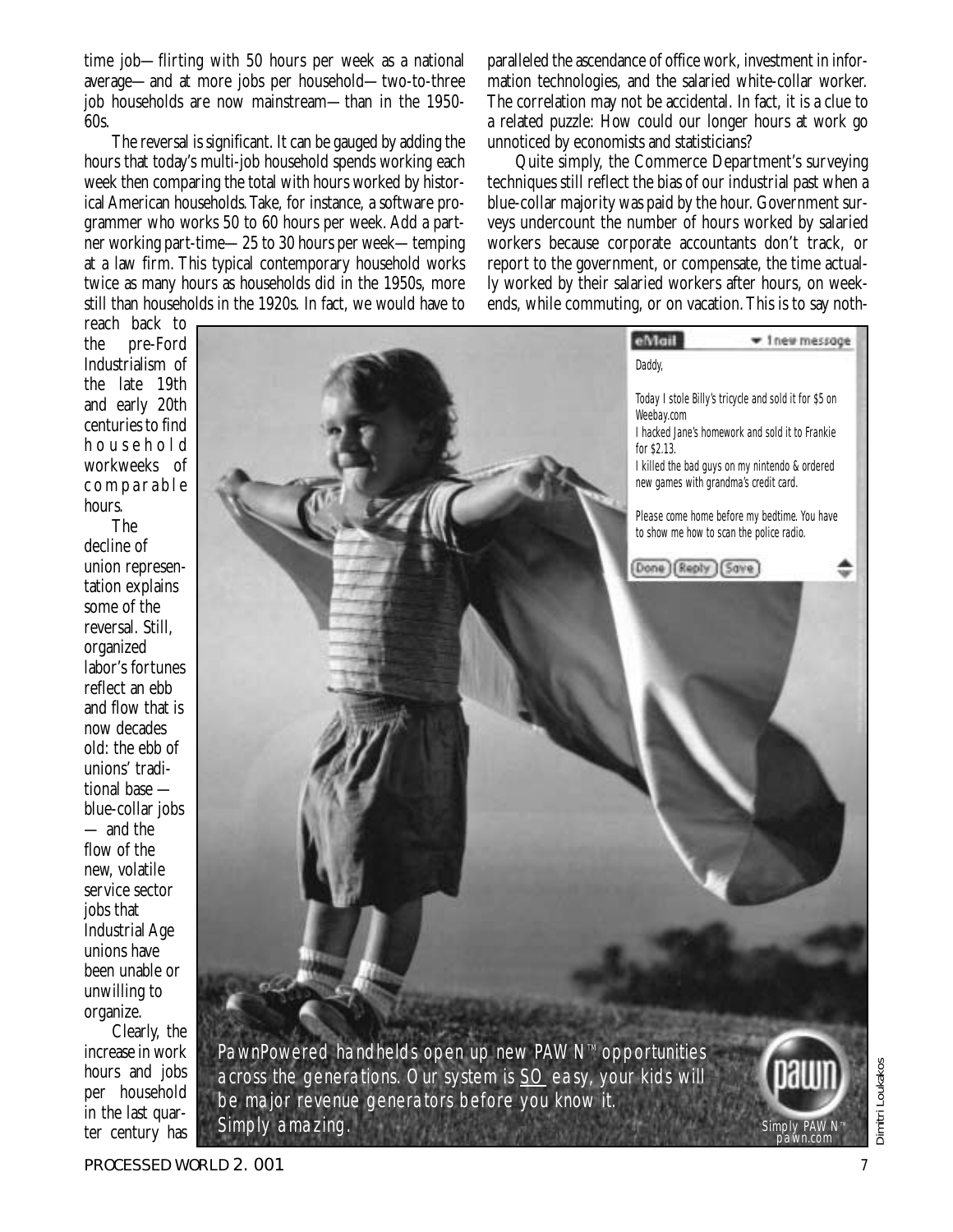time job—flirting with 50 hours per week as a national average—and at more jobs per household—two-to-three job households are now mainstream—than in the 1950- 60s.

The reversal is significant. It can be gauged by adding the hours that today's multi-job household spends working each week then comparing the total with hours worked by historical American households.Take, for instance, a software programmer who works 50 to 60 hours per week. Add a partner working part-time—25 to 30 hours per week—temping at a law firm. This typical contemporary household works twice as many hours as households did in the 1950s, more still than households in the 1920s. In fact, we would have to paralleled the ascendance of office work, investment in information technologies, and the salaried white-collar worker. The correlation may not be accidental. In fact, it is a clue to a related puzzle: How could our longer hours at work go unnoticed by economists and statisticians?

Quite simply, the Commerce Department's surveying techniques still reflect the bias of our industrial past when a blue-collar majority was paid by the hour. Government surveys undercount the number of hours worked by salaried workers because corporate accountants don't track, or report to the government, or compensate, the time actually worked by their salaried workers after hours, on weekends, while commuting, or on vacation.This is to say noth-

reach back to the pre-Ford Industrialism of the late 19th and early 20th centuries to find household workweeks of comparable hours.

The decline of union representation explains some of the reversal. Still, organized labor's fortunes reflect an ebb and flow that is now decades old: the ebb of unions' traditional base blue-collar jobs — and the flow of the new, volatile service sector jobs that Industrial Age unions have been unable or unwilling to organize.

Clearly, the increase in work hours and jobs per household in the last quarter century has



across the generations. Our system is  $SO$  easy, your kids will be major revenue generators before you know it. Simply amazing.



PROCESSED WORLD 2.001 **7** *T* 

pawn.com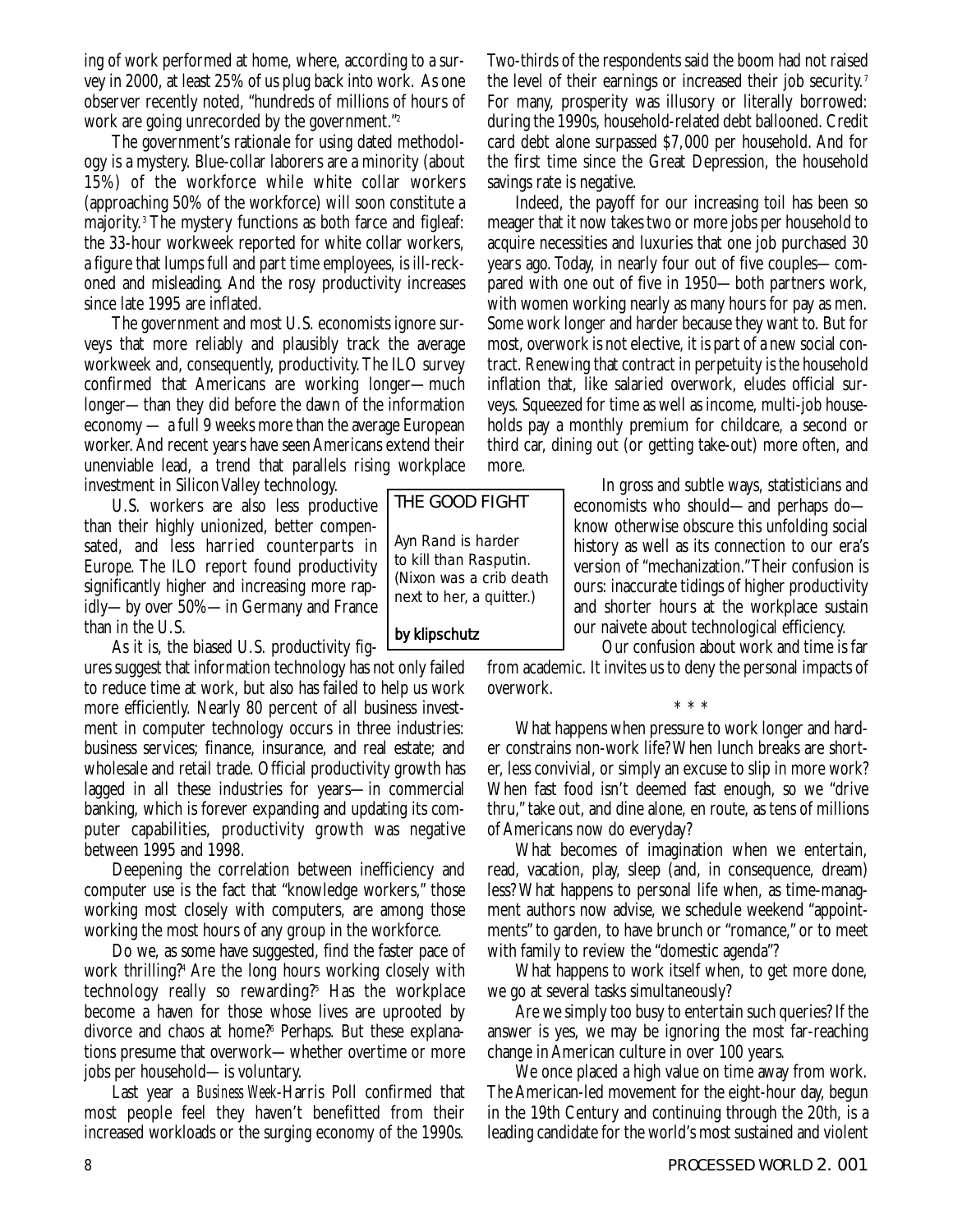ing of work performed at home, where, according to a survey in 2000, at least 25% of us plug back into work. As one observer recently noted, "hundreds of millions of hours of work are going unrecorded by the government."2

The government's rationale for using dated methodology is a mystery. Blue-collar laborers are a minority (about 15%) of the workforce while white collar workers (approaching 50% of the workforce) will soon constitute a majority.3 The mystery functions as both farce and figleaf: the 33-hour workweek reported for white collar workers, a figure that lumps full and part time employees, is ill-reckoned and misleading. And the rosy productivity increases since late 1995 are inflated.

The government and most U.S. economists ignore surveys that more reliably and plausibly track the average workweek and, consequently, productivity.The ILO survey confirmed that Americans are working longer—much longer—than they did before the dawn of the information economy — a full 9 weeks more than the average European worker. And recent years have seen Americans extend their unenviable lead, a trend that parallels rising workplace investment in Silicon Valley technology.

U.S. workers are also less productive than their highly unionized, better compensated, and less harried counterparts in Europe. The ILO report found productivity significantly higher and increasing more rapidly—by over 50%—in Germany and France than in the U.S.

As it is, the biased U.S. productivity fig-

ures suggest that information technology has not only failed to reduce time at work, but also has failed to help us work more efficiently. Nearly 80 percent of all business investment in computer technology occurs in three industries: business services; finance, insurance, and real estate; and wholesale and retail trade. Official productivity growth has lagged in all these industries for years—in commercial banking, which is forever expanding and updating its computer capabilities, productivity growth was negative between 1995 and 1998.

Deepening the correlation between inefficiency and computer use is the fact that "knowledge workers," those working most closely with computers, are among those working the most hours of any group in the workforce.

Do we, as some have suggested, find the faster pace of work thrilling?4 Are the long hours working closely with technology really so rewarding?5 Has the workplace become a haven for those whose lives are uprooted by divorce and chaos at home?6 Perhaps. But these explanations presume that overwork—whether overtime or more jobs per household—is voluntary.

Last year a *Business Week*-Harris Poll confirmed that most people feel they haven't benefitted from their increased workloads or the surging economy of the 1990s.

Two-thirds of the respondents said the boom had not raised the level of their earnings or increased their job security.<sup>7</sup> For many, prosperity was illusory or literally borrowed: during the 1990s, household-related debt ballooned. Credit card debt alone surpassed \$7,000 per household. And for the first time since the Great Depression, the household savings rate is negative.

Indeed, the payoff for our increasing toil has been so meager that it now takes two or more jobs per household to acquire necessities and luxuries that one job purchased 30 years ago. Today, in nearly four out of five couples—compared with one out of five in 1950—both partners work, with women working nearly as many hours for pay as men. Some work longer and harder because they want to. But for most, overwork is not elective, it is part of a new social contract. Renewing that contract in perpetuity is the household inflation that, like salaried overwork, eludes official surveys. Squeezed for time as well as income, multi-job households pay a monthly premium for childcare, a second or third car, dining out (or getting take-out) more often, and more.

> In gross and subtle ways, statisticians and economists who should—and perhaps do know otherwise obscure this unfolding social history as well as its connection to our era's version of "mechanization."Their confusion is ours: inaccurate tidings of higher productivity and shorter hours at the workplace sustain our naivete about technological efficiency.

Our confusion about work and time is far

from academic. It invites us to deny the personal impacts of overwork.

\*\*\* What happens when pressure to work longer and harder constrains non-work life? When lunch breaks are shorter, less convivial, or simply an excuse to slip in more work? When fast food isn't deemed fast enough, so we "drive thru," take out, and dine alone, en route, as tens of millions of Americans now do everyday?

What becomes of imagination when we entertain, read, vacation, play, sleep (and, in consequence, dream) less? What happens to personal life when, as time-managment authors now advise, we schedule weekend "appointments" to garden, to have brunch or "romance," or to meet with family to review the "domestic agenda"?

What happens to work itself when, to get more done, we go at several tasks simultaneously?

Are we simply too busy to entertain such queries? If the answer is yes, we may be ignoring the most far-reaching change in American culture in over 100 years.

We once placed a high value on time away from work. The American-led movement for the eight-hour day, begun in the 19th Century and continuing through the 20th, is a leading candidate for the world's most sustained and violent

THE GOOD FIGHT Ayn Rand is harder to kill than Rasputin. (Nixon was a crib death next to her, a quitter.)

## *by klipschutz*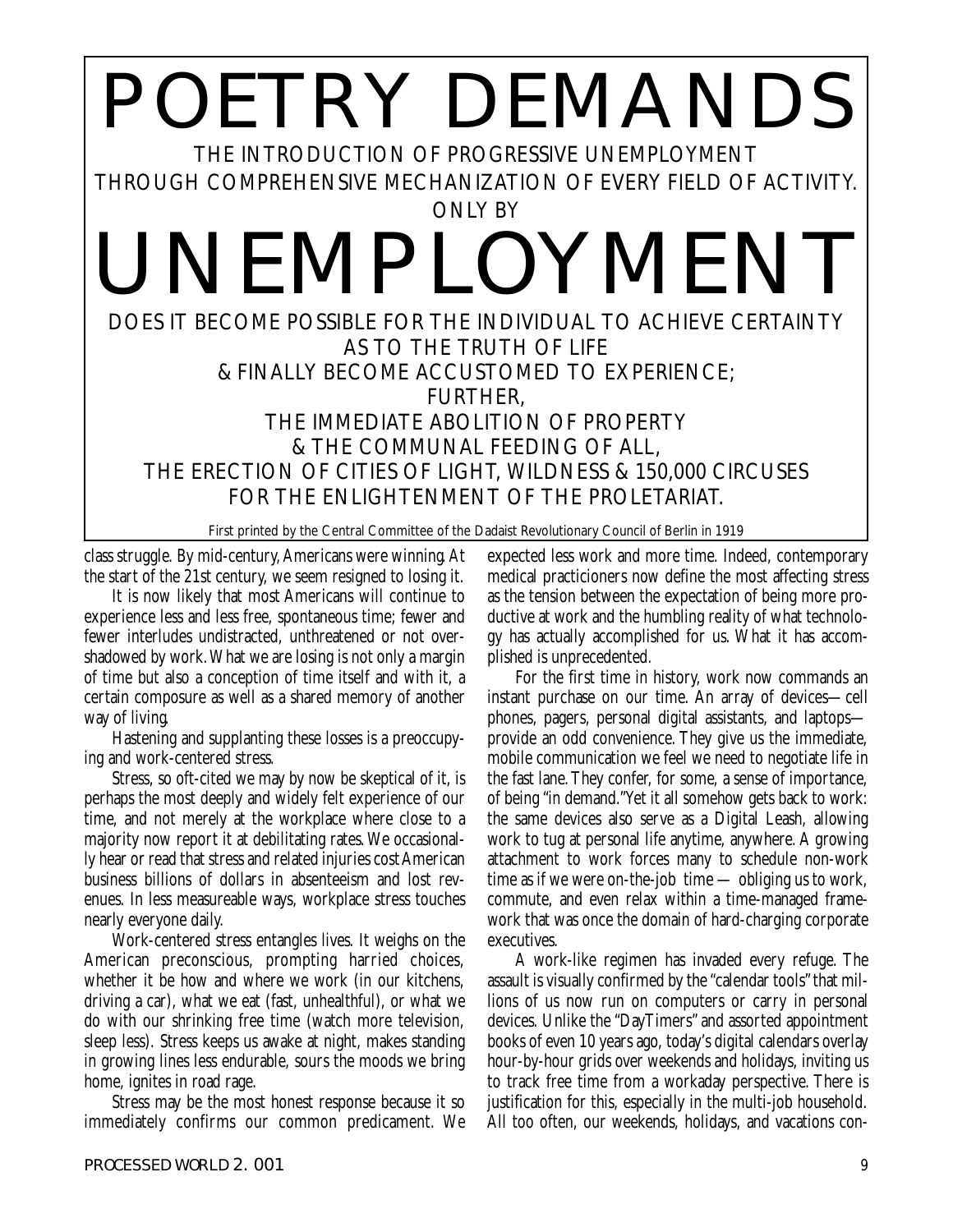## POETRY DEMANDS THE INTRODUCTION OF PROGRESSIVE UNEMPLOYMENT THROUGH COMPREHENSIVE MECHANIZATION OF EVERY FIELD OF ACTIVITY. ONLY BY UNEMPLOYMENT DOES IT BECOME POSSIBLE FOR THE INDIVIDUAL TO ACHIEVE CERTAINTY AS TO THE TRUTH OF LIFE & FINALLY BECOME ACCUSTOMED TO EXPERIENCE; FURTHER, THE IMMEDIATE ABOLITION OF PROPERTY & THE COMMUNAL FEEDING OF ALL, THE ERECTION OF CITIES OF LIGHT, WILDNESS & 150,000 CIRCUSES FOR THE ENLIGHTENMENT OF THE PROLETARIAT.

First printed by the Central Committee of the Dadaist Revolutionary Council of Berlin in 1919

class struggle. By mid-century,Americans were winning.At the start of the 21st century, we seem resigned to losing it.

It is now likely that most Americans will continue to experience less and less free, spontaneous time; fewer and fewer interludes undistracted, unthreatened or not overshadowed by work.What we are losing is not only a margin of time but also a conception of time itself and with it, a certain composure as well as a shared memory of another way of living.

Hastening and supplanting these losses is a preoccupying and work-centered stress.

Stress, so oft-cited we may by now be skeptical of it, is perhaps the most deeply and widely felt experience of our time, and not merely at the workplace where close to a majority now report it at debilitating rates.We occasionally hear or read that stress and related injuries cost American business billions of dollars in absenteeism and lost revenues. In less measureable ways, workplace stress touches nearly everyone daily.

Work-centered stress entangles lives. It weighs on the American preconscious, prompting harried choices, whether it be how and where we work (in our kitchens, driving a car), what we eat (fast, unhealthful), or what we do with our shrinking free time (watch more television, sleep less). Stress keeps us awake at night, makes standing in growing lines less endurable, sours the moods we bring home, ignites in road rage.

Stress may be the most honest response because it so immediately confirms our common predicament. We expected less work and more time. Indeed, contemporary medical practicioners now define the most affecting stress as the tension between the expectation of being more productive at work and the humbling reality of what technology has actually accomplished for us. What it has accomplished is unprecedented.

For the first time in history, work now commands an instant purchase on our time. An array of devices—cell phones, pagers, personal digital assistants, and laptops provide an odd convenience. They give us the immediate, mobile communication we feel we need to negotiate life in the fast lane.They confer, for some, a sense of importance, of being "in demand."Yet it all somehow gets back to work: the same devices also serve as a Digital Leash, allowing work to tug at personal life anytime, anywhere. A growing attachment to work forces many to schedule non-work time as if we were on-the-job time — obliging us to work, commute, and even relax within a time-managed framework that was once the domain of hard-charging corporate executives.

A work-like regimen has invaded every refuge. The assault is visually confirmed by the "calendar tools" that millions of us now run on computers or carry in personal devices. Unlike the "DayTimers" and assorted appointment books of even 10 years ago, today's digital calendars overlay hour-by-hour grids over weekends and holidays, inviting us to track free time from a workaday perspective. There is justification for this, especially in the multi-job household. All too often, our weekends, holidays, and vacations con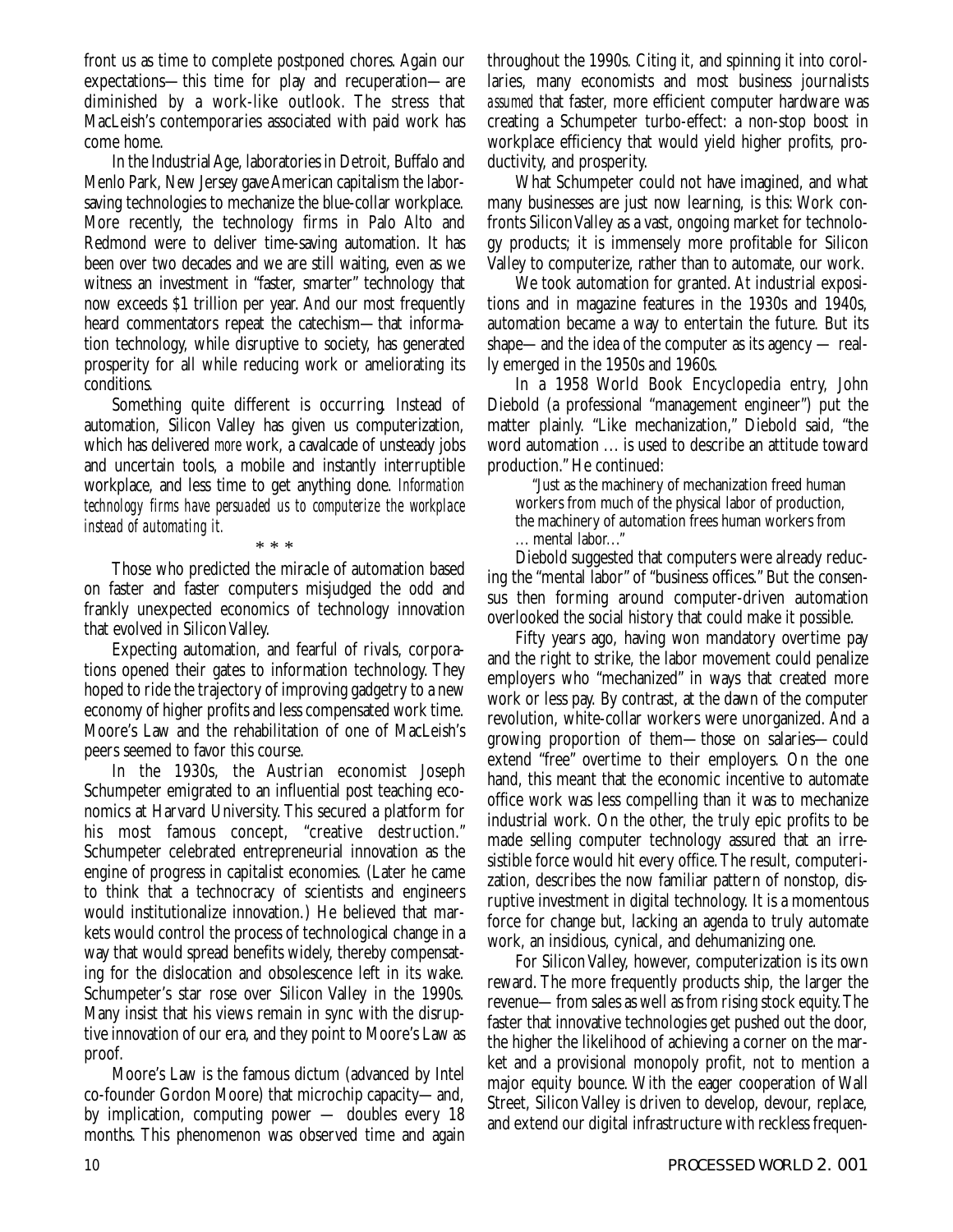front us as time to complete postponed chores. Again our expectations—this time for play and recuperation—are diminished by a work-like outlook. The stress that MacLeish's contemporaries associated with paid work has come home.

In the Industrial Age, laboratories in Detroit, Buffalo and Menlo Park, New Jersey gave American capitalism the laborsaving technologies to mechanize the blue-collar workplace. More recently, the technology firms in Palo Alto and Redmond were to deliver time-saving automation. It has been over two decades and we are still waiting, even as we witness an investment in "faster, smarter" technology that now exceeds \$1 trillion per year. And our most frequently heard commentators repeat the catechism—that information technology, while disruptive to society, has generated prosperity for all while reducing work or ameliorating its conditions.

Something quite different is occurring. Instead of automation, Silicon Valley has given us computerization, which has delivered *more* work, a cavalcade of unsteady jobs and uncertain tools, a mobile and instantly interruptible workplace, and less time to get anything done. *Information technology firms have persuaded us to computerize the workplace instead of automating it.*

\* \* \*

Those who predicted the miracle of automation based on faster and faster computers misjudged the odd and frankly unexpected economics of technology innovation that evolved in Silicon Valley.

Expecting automation, and fearful of rivals, corporations opened their gates to information technology. They hoped to ride the trajectory of improving gadgetry to a new economy of higher profits and less compensated work time. Moore's Law and the rehabilitation of one of MacLeish's peers seemed to favor this course.

In the 1930s, the Austrian economist Joseph Schumpeter emigrated to an influential post teaching economics at Harvard University. This secured a platform for his most famous concept, "creative destruction." Schumpeter celebrated entrepreneurial innovation as the engine of progress in capitalist economies. (Later he came to think that a technocracy of scientists and engineers would institutionalize innovation.) He believed that markets would control the process of technological change in a way that would spread benefits widely, thereby compensating for the dislocation and obsolescence left in its wake. Schumpeter's star rose over Silicon Valley in the 1990s. Many insist that his views remain in sync with the disruptive innovation of our era, and they point to Moore's Law as proof.

Moore's Law is the famous dictum (advanced by Intel co-founder Gordon Moore) that microchip capacity—and, by implication, computing power — doubles every 18 months. This phenomenon was observed time and again throughout the 1990s. Citing it, and spinning it into corollaries, many economists and most business journalists *assumed* that faster, more efficient computer hardware was creating a Schumpeter turbo-effect: a non-stop boost in workplace efficiency that would yield higher profits, productivity, and prosperity.

What Schumpeter could not have imagined, and what many businesses are just now learning, is this: Work confronts Silicon Valley as a vast, ongoing market for technology products; it is immensely more profitable for Silicon Valley to computerize, rather than to automate, our work.

We took automation for granted. At industrial expositions and in magazine features in the 1930s and 1940s, automation became a way to entertain the future. But its shape—and the idea of the computer as its agency — really emerged in the 1950s and 1960s.

In a 1958 World Book Encyclopedia entry, John Diebold (a professional "management engineer") put the matter plainly. "Like mechanization," Diebold said, "the word automation ... is used to describe an attitude toward production." He continued:

"Just as the machinery of mechanization freed human workers from much of the physical labor of production, the machinery of automation frees human workers from ... mental labor..."

Diebold suggested that computers were already reducing the "mental labor" of "business offices." But the consensus then forming around computer-driven automation overlooked the social history that could make it possible.

Fifty years ago, having won mandatory overtime pay and the right to strike, the labor movement could penalize employers who "mechanized" in ways that created more work or less pay. By contrast, at the dawn of the computer revolution, white-collar workers were unorganized. And a growing proportion of them—those on salaries—could extend "free" overtime to their employers. On the one hand, this meant that the economic incentive to automate office work was less compelling than it was to mechanize industrial work. On the other, the truly epic profits to be made selling computer technology assured that an irresistible force would hit every office.The result, computerization, describes the now familiar pattern of nonstop, disruptive investment in digital technology. It is a momentous force for change but, lacking an agenda to truly automate work, an insidious, cynical, and dehumanizing one.

For Silicon Valley, however, computerization is its own reward. The more frequently products ship, the larger the revenue—from sales as well as from rising stock equity.The faster that innovative technologies get pushed out the door, the higher the likelihood of achieving a corner on the market and a provisional monopoly profit, not to mention a major equity bounce. With the eager cooperation of Wall Street, Silicon Valley is driven to develop, devour, replace, and extend our digital infrastructure with reckless frequen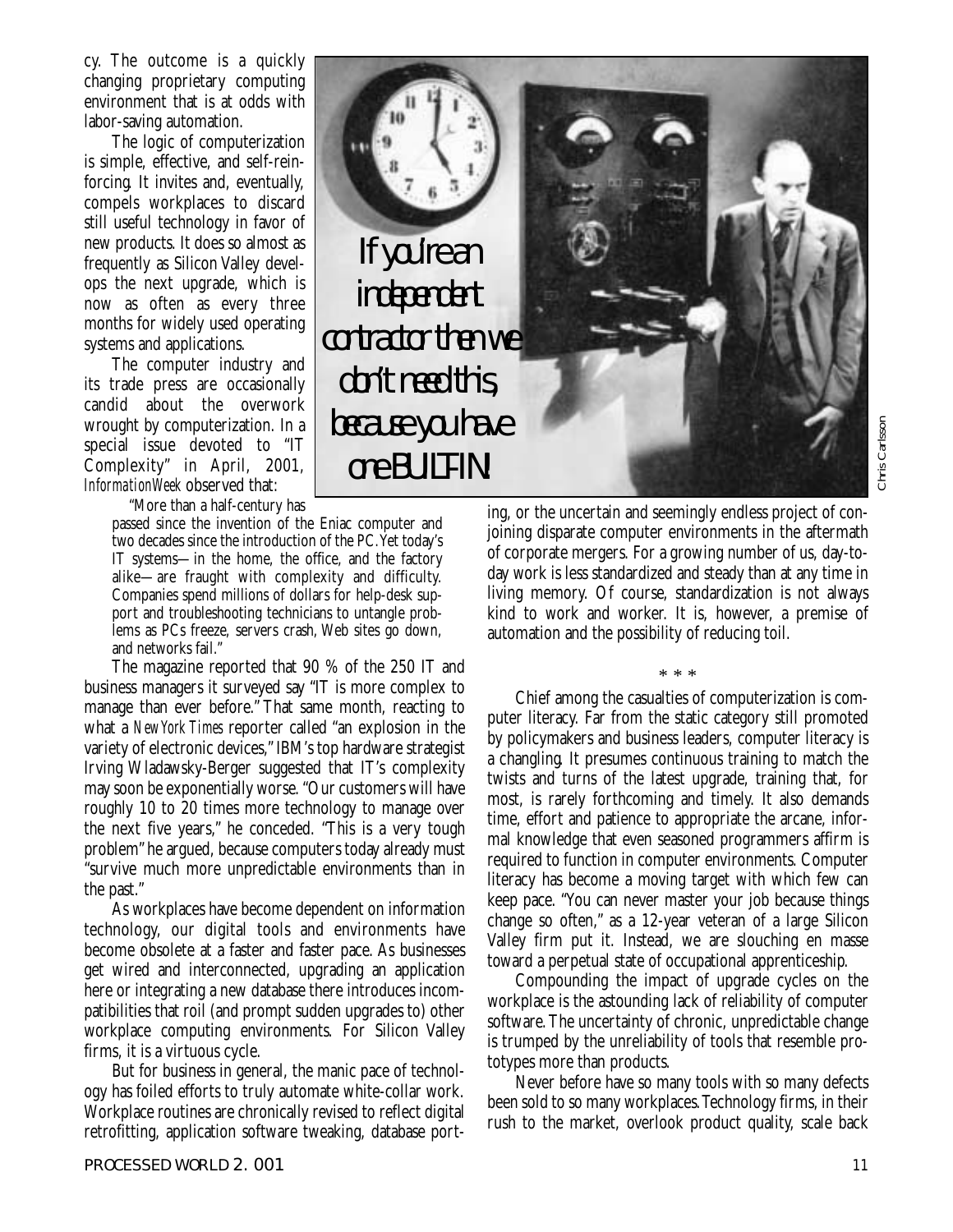cy. The outcome is a quickly changing proprietary computing environment that is at odds with labor-saving automation.

The logic of computerization is simple, effective, and self-reinforcing. It invites and, eventually, compels workplaces to discard still useful technology in favor of new products. It does so almost as frequently as Silicon Valley develops the next upgrade, which is now as often as every three months for widely used operating systems and applications.

The computer industry and its trade press are occasionally candid about the overwork wrought by computerization. In a special issue devoted to "IT Complexity" in April, 2001, *InformationWeek* observed that:

"More than a half-century has

passed since the invention of the Eniac computer and two decades since the introduction of the PC.Yet today's IT systems—in the home, the office, and the factory alike—are fraught with complexity and difficulty. Companies spend millions of dollars for help-desk support and troubleshooting technicians to untangle problems as PCs freeze, servers crash, Web sites go down, and networks fail."

The magazine reported that 90 % of the 250 IT and business managers it surveyed say "IT is more complex to manage than ever before." That same month, reacting to what a *New York Times* reporter called "an explosion in the variety of electronic devices," IBM's top hardware strategist Irving Wladawsky-Berger suggested that IT's complexity may soon be exponentially worse. "Our customers will have roughly 10 to 20 times more technology to manage over the next five years," he conceded. "This is a very tough problem" he argued, because computers today already must "survive much more unpredictable environments than in the past."

As workplaces have become dependent on information technology, our digital tools and environments have become obsolete at a faster and faster pace. As businesses get wired and interconnected, upgrading an application here or integrating a new database there introduces incompatibilities that roil (and prompt sudden upgrades to) other workplace computing environments. For Silicon Valley firms, it is a virtuous cycle.

But for business in general, the manic pace of technology has foiled efforts to truly automate white-collar work. Workplace routines are chronically revised to reflect digital retrofitting, application software tweaking, database port-



ing, or the uncertain and seemingly endless project of conjoining disparate computer environments in the aftermath of corporate mergers. For a growing number of us, day-today work is less standardized and steady than at any time in living memory. Of course, standardization is not always kind to work and worker. It is, however, a premise of automation and the possibility of reducing toil.

\* \* \*

Chief among the casualties of computerization is computer literacy. Far from the static category still promoted by policymakers and business leaders, computer literacy is a changling. It presumes continuous training to match the twists and turns of the latest upgrade, training that, for most, is rarely forthcoming and timely. It also demands time, effort and patience to appropriate the arcane, informal knowledge that even seasoned programmers affirm is required to function in computer environments. Computer literacy has become a moving target with which few can keep pace. "You can never master your job because things change so often," as a 12-year veteran of a large Silicon Valley firm put it. Instead, we are slouching en masse toward a perpetual state of occupational apprenticeship.

Compounding the impact of upgrade cycles on the workplace is the astounding lack of reliability of computer software.The uncertainty of chronic, unpredictable change is trumped by the unreliability of tools that resemble prototypes more than products.

Never before have so many tools with so many defects been sold to so many workplaces.Technology firms, in their rush to the market, overlook product quality, scale back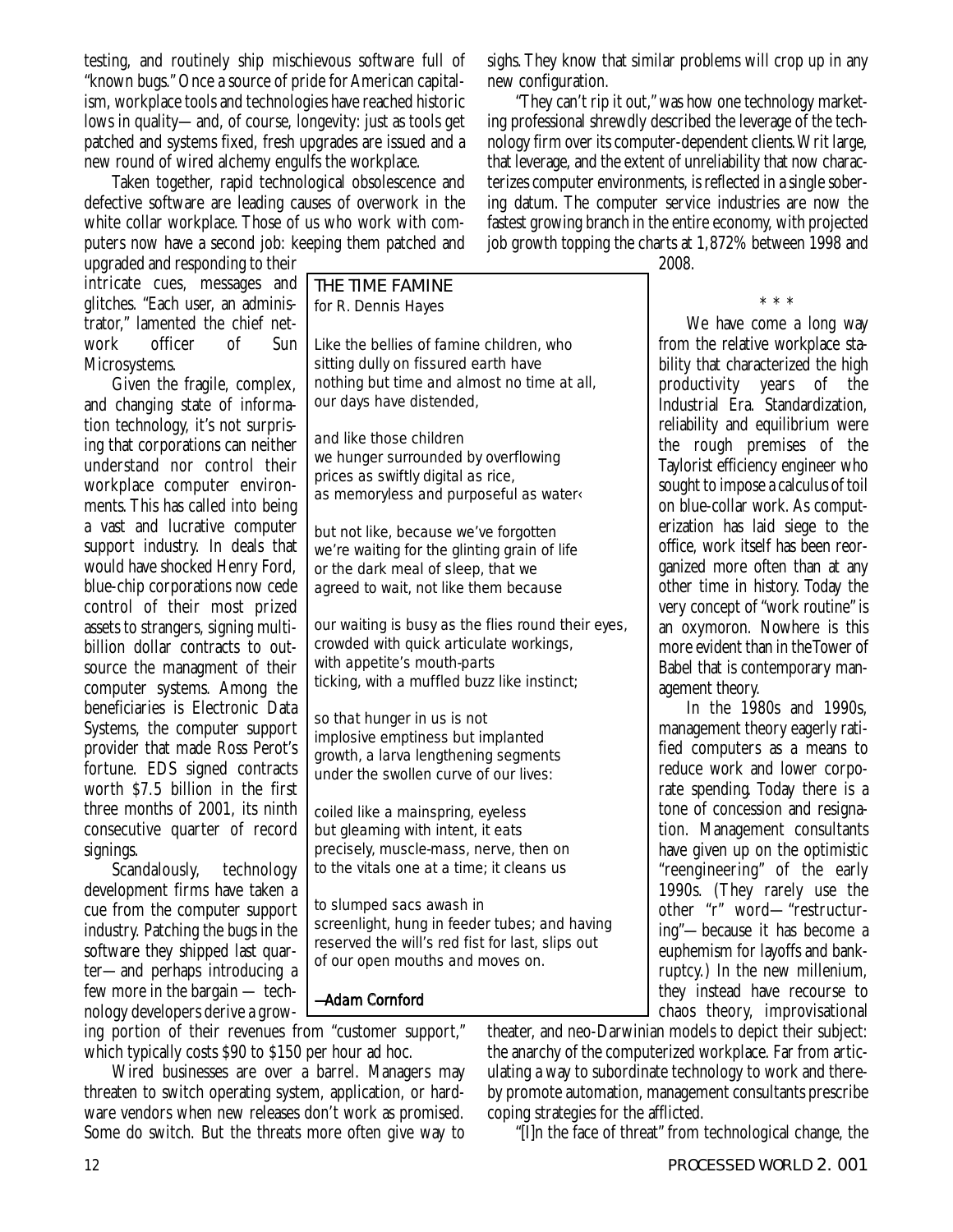testing, and routinely ship mischievous software full of "known bugs." Once a source of pride for American capitalism, workplace tools and technologies have reached historic lows in quality—and, of course, longevity: just as tools get patched and systems fixed, fresh upgrades are issued and a new round of wired alchemy engulfs the workplace.

Taken together, rapid technological obsolescence and defective software are leading causes of overwork in the white collar workplace. Those of us who work with computers now have a second job: keeping them patched and

upgraded and responding to their intricate cues, messages and glitches. "Each user, an administrator," lamented the chief netofficer Microsystems.

Given the fragile, complex, and changing state of information technology, it's not surprising that corporations can neither understand nor control their workplace computer environments. This has called into being a vast and lucrative computer support industry. In deals that would have shocked Henry Ford, blue-chip corporations now cede control of their most prized assets to strangers, signing multibillion dollar contracts to outsource the managment of their computer systems. Among the beneficiaries is Electronic Data Systems, the computer support provider that made Ross Perot's fortune. EDS signed contracts worth \$7.5 billion in the first three months of 2001, its ninth consecutive quarter of record signings.

Scandalously, technology development firms have taken a cue from the computer support industry. Patching the bugs in the software they shipped last quarter—and perhaps introducing a few more in the bargain — technology developers derive a growTHE TIME FAMINE *for R. Dennis Hayes*

Like the bellies of famine children, who sitting dully on fissured earth have nothing but time and almost no time at all, our days have distended,

and like those children we hunger surrounded by overflowing prices as swiftly digital as rice, as memoryless and purposeful as water‹

but not like, because we've forgotten we're waiting for the glinting grain of life or the dark meal of sleep, that we agreed to wait, not like them because

our waiting is busy as the flies round their eyes, crowded with quick articulate workings, with appetite's mouth-parts ticking, with a muffled buzz like instinct;

so that hunger in us is not implosive emptiness but implanted growth, a larva lengthening segments under the swollen curve of our lives:

coiled like a mainspring, eyeless but gleaming with intent, it eats precisely, muscle-mass, nerve, then on to the vitals one at a time; it cleans us

to slumped sacs awash in screenlight, hung in feeder tubes; and having reserved the will's red fist for last, slips out of our open mouths and moves on.

*—Adam Cornford*

ing portion of their revenues from "customer support," which typically costs \$90 to \$150 per hour ad hoc.

Wired businesses are over a barrel. Managers may threaten to switch operating system, application, or hardware vendors when new releases don't work as promised. Some do switch. But the threats more often give way to sighs.They know that similar problems will crop up in any new configuration.

"They can't rip it out," was how one technology marketing professional shrewdly described the leverage of the technology firm over its computer-dependent clients.Writ large, that leverage, and the extent of unreliability that now characterizes computer environments, is reflected in a single sobering datum. The computer service industries are now the fastest growing branch in the entire economy, with projected job growth topping the charts at 1,872% between 1998 and

2008.

\*\*\* We have come a long way from the relative workplace stability that characterized the high productivity years of the Industrial Era. Standardization, reliability and equilibrium were the rough premises of the Taylorist efficiency engineer who sought to impose a calculus of toil on blue-collar work. As computerization has laid siege to the office, work itself has been reorganized more often than at any other time in history. Today the very concept of "work routine" is an oxymoron. Nowhere is this more evident than in the Tower of Babel that is contemporary management theory.

In the 1980s and 1990s, management theory eagerly ratified computers as a means to reduce work and lower corporate spending. Today there is a tone of concession and resignation. Management consultants have given up on the optimistic "reengineering" of the early 1990s. (They rarely use the other "r" word—"restructuring"—because it has become a euphemism for layoffs and bankruptcy.) In the new millenium, they instead have recourse to chaos theory, improvisational

theater, and neo-Darwinian models to depict their subject: the anarchy of the computerized workplace. Far from articulating a way to subordinate technology to work and thereby promote automation, management consultants prescribe coping strategies for the afflicted.

"[I]n the face of threat" from technological change, the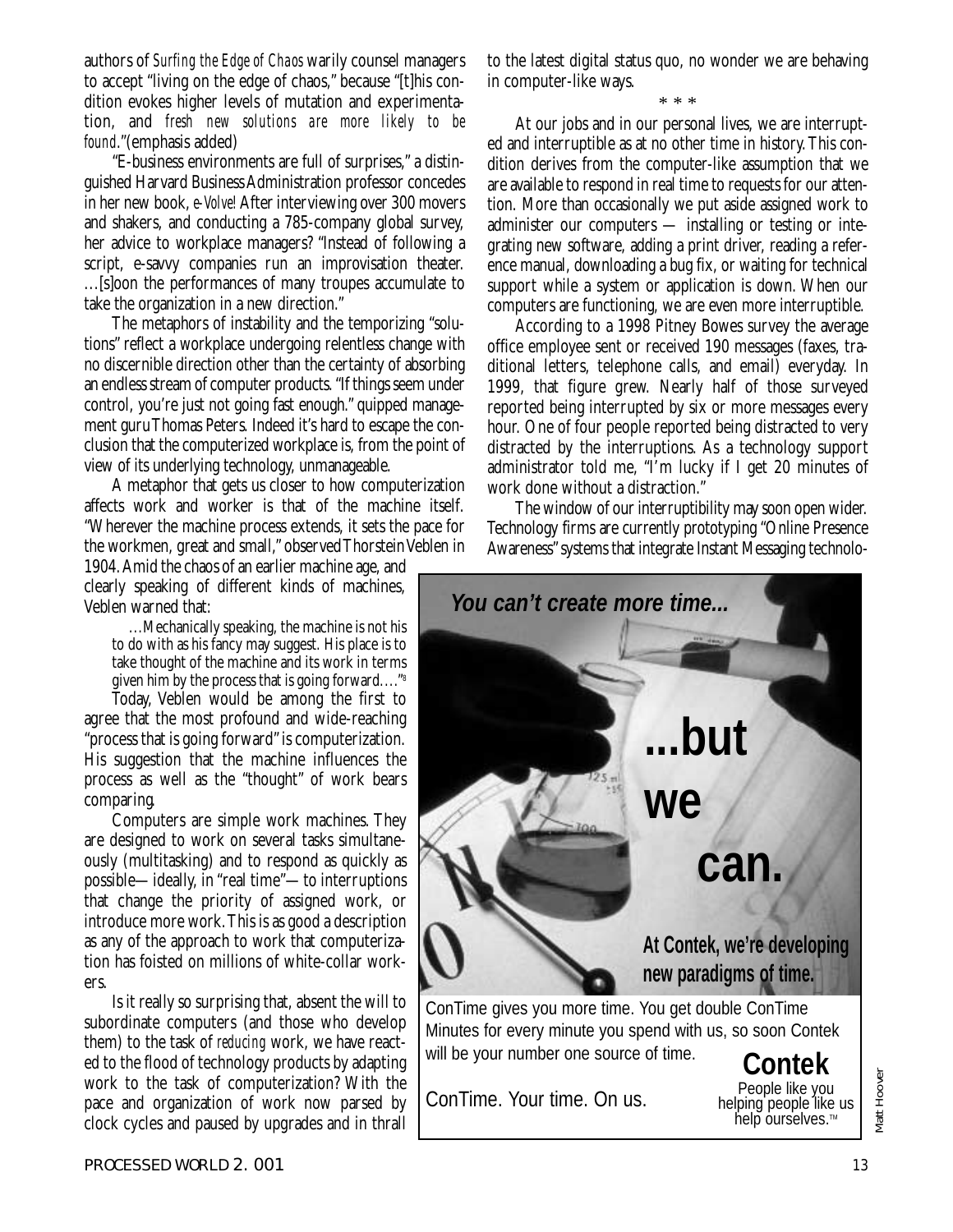authors of *Surfing the Edge of Chaos* warily counsel managers to accept "living on the edge of chaos," because "[t]his condition evokes higher levels of mutation and experimentation, and *fresh new solutions are more likely to be found*."(emphasis added)

"E-business environments are full of surprises," a distinguished Harvard Business Administration professor concedes in her new book,*e-Volve!*After interviewing over 300 movers and shakers, and conducting a 785-company global survey, her advice to workplace managers? "Instead of following a script, e-savvy companies run an improvisation theater. ...[s]oon the performances of many troupes accumulate to take the organization in a new direction."

The metaphors of instability and the temporizing "solutions" reflect a workplace undergoing relentless change with no discernible direction other than the certainty of absorbing an endless stream of computer products."If things seem under control, you're just not going fast enough." quipped management guru Thomas Peters. Indeed it's hard to escape the conclusion that the computerized workplace is, from the point of view of its underlying technology, unmanageable.

A metaphor that gets us closer to how computerization affects work and worker is that of the machine itself. "Wherever the machine process extends, it sets the pace for the workmen, great and small," observed Thorstein Veblen in

1904.Amid the chaos of an earlier machine age, and clearly speaking of different kinds of machines, Veblen warned that:

...Mechanically speaking, the machine is not his to do with as his fancy may suggest. His place is to take thought of the machine and its work in terms given him by the process that is going forward...."8

Today, Veblen would be among the first to agree that the most profound and wide-reaching "process that is going forward" is computerization. His suggestion that the machine influences the process as well as the "thought" of work bears comparing.

Computers are simple work machines. They are designed to work on several tasks simultaneously (multitasking) and to respond as quickly as possible—ideally, in "real time"—to interruptions that change the priority of assigned work, or introduce more work.This is as good a description as any of the approach to work that computerization has foisted on millions of white-collar workers.

Is it really so surprising that, absent the will to subordinate computers (and those who develop them) to the task of *reducing* work, we have reacted to the flood of technology products by adapting work to the task of computerization? With the pace and organization of work now parsed by clock cycles and paused by upgrades and in thrall to the latest digital status quo, no wonder we are behaving in computer-like ways.

\* \* \*

At our jobs and in our personal lives, we are interrupted and interruptible as at no other time in history.This condition derives from the computer-like assumption that we are available to respond in real time to requests for our attention. More than occasionally we put aside assigned work to administer our computers — installing or testing or integrating new software, adding a print driver, reading a reference manual, downloading a bug fix, or waiting for technical support while a system or application is down. When our computers are functioning, we are even more interruptible.

According to a 1998 Pitney Bowes survey the average office employee sent or received 190 messages (faxes, traditional letters, telephone calls, and email) everyday. In 1999, that figure grew. Nearly half of those surveyed reported being interrupted by six or more messages every hour. One of four people reported being distracted to very distracted by the interruptions. As a technology support administrator told me, "I'm lucky if I get 20 minutes of work done without a distraction."

The window of our interruptibility may soon open wider. Technology firms are currently prototyping "Online Presence Awareness" systems that integrate Instant Messaging technolo-



ConTime. Your time. On us.

People like you<br>helping people like us<br>help ourselves.™

Matt Hoover

Matt Hoover